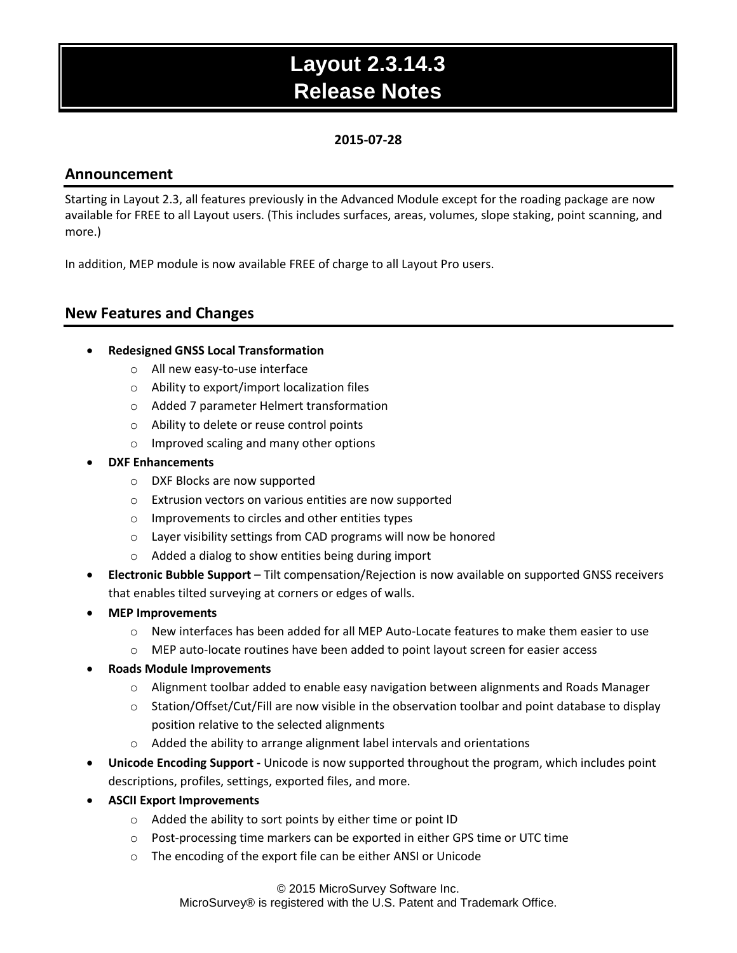## **2015-07-28**

## **Announcement**

Starting in Layout 2.3, all features previously in the Advanced Module except for the roading package are now available for FREE to all Layout users. (This includes surfaces, areas, volumes, slope staking, point scanning, and more.)

In addition, MEP module is now available FREE of charge to all Layout Pro users.

## **New Features and Changes**

### **Redesigned GNSS Local Transformation**

- o All new easy-to-use interface
- o Ability to export/import localization files
- o Added 7 parameter Helmert transformation
- o Ability to delete or reuse control points
- o Improved scaling and many other options
- **DXF Enhancements**
	- o DXF Blocks are now supported
	- o Extrusion vectors on various entities are now supported
	- o Improvements to circles and other entities types
	- o Layer visibility settings from CAD programs will now be honored
	- o Added a dialog to show entities being during import
- **Electronic Bubble Support** Tilt compensation/Rejection is now available on supported GNSS receivers that enables tilted surveying at corners or edges of walls.
- **MEP Improvements**
	- o New interfaces has been added for all MEP Auto-Locate features to make them easier to use
	- $\circ$  MEP auto-locate routines have been added to point layout screen for easier access
- **Roads Module Improvements**
	- o Alignment toolbar added to enable easy navigation between alignments and Roads Manager
	- $\circ$  Station/Offset/Cut/Fill are now visible in the observation toolbar and point database to display position relative to the selected alignments
	- o Added the ability to arrange alignment label intervals and orientations
- **Unicode Encoding Support -** Unicode is now supported throughout the program, which includes point descriptions, profiles, settings, exported files, and more.
- **ASCII Export Improvements**
	- o Added the ability to sort points by either time or point ID
	- o Post-processing time markers can be exported in either GPS time or UTC time
	- o The encoding of the export file can be either ANSI or Unicode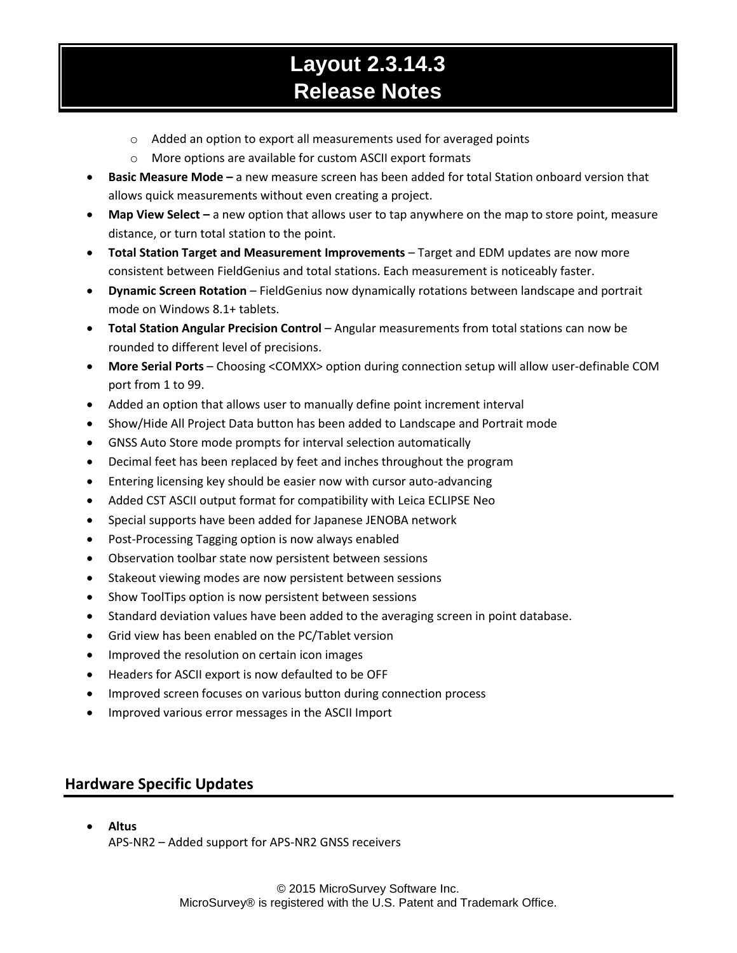- o Added an option to export all measurements used for averaged points
- o More options are available for custom ASCII export formats
- **Basic Measure Mode –** a new measure screen has been added for total Station onboard version that allows quick measurements without even creating a project.
- **Map View Select –** a new option that allows user to tap anywhere on the map to store point, measure distance, or turn total station to the point.
- **Total Station Target and Measurement Improvements** Target and EDM updates are now more consistent between FieldGenius and total stations. Each measurement is noticeably faster.
- **Dynamic Screen Rotation** FieldGenius now dynamically rotations between landscape and portrait mode on Windows 8.1+ tablets.
- **Total Station Angular Precision Control** Angular measurements from total stations can now be rounded to different level of precisions.
- **More Serial Ports**  Choosing <COMXX> option during connection setup will allow user-definable COM port from 1 to 99.
- Added an option that allows user to manually define point increment interval
- Show/Hide All Project Data button has been added to Landscape and Portrait mode
- GNSS Auto Store mode prompts for interval selection automatically
- Decimal feet has been replaced by feet and inches throughout the program
- Entering licensing key should be easier now with cursor auto-advancing
- Added CST ASCII output format for compatibility with Leica ECLIPSE Neo
- Special supports have been added for Japanese JENOBA network
- Post-Processing Tagging option is now always enabled
- Observation toolbar state now persistent between sessions
- Stakeout viewing modes are now persistent between sessions
- Show ToolTips option is now persistent between sessions
- Standard deviation values have been added to the averaging screen in point database.
- Grid view has been enabled on the PC/Tablet version
- Improved the resolution on certain icon images
- Headers for ASCII export is now defaulted to be OFF
- Improved screen focuses on various button during connection process
- Improved various error messages in the ASCII Import

## **Hardware Specific Updates**

 **Altus** APS-NR2 – Added support for APS-NR2 GNSS receivers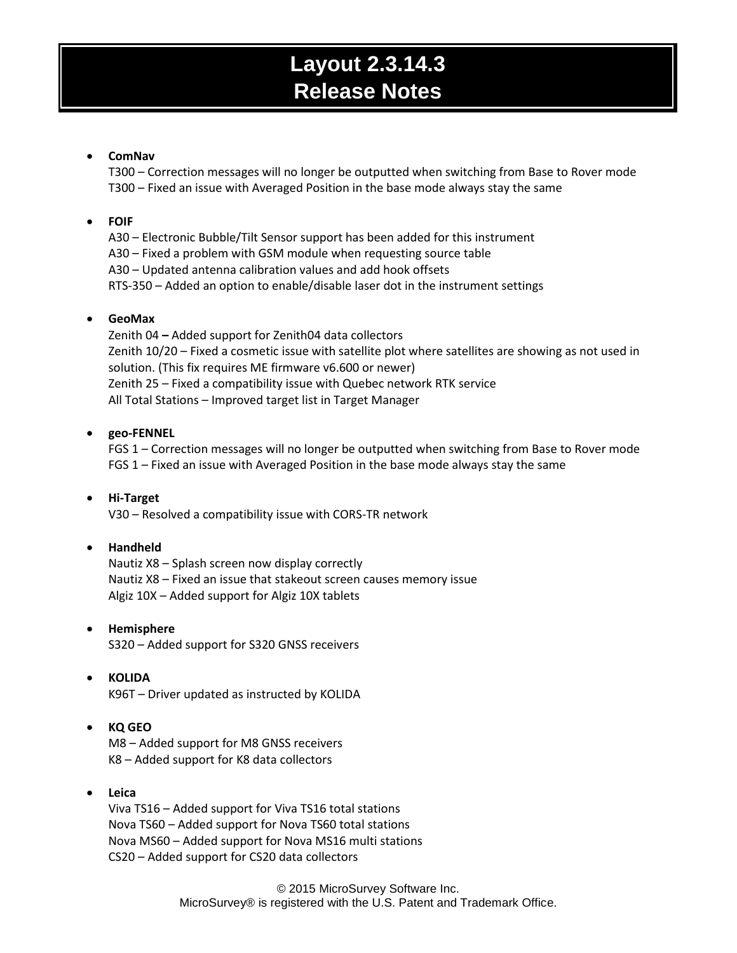#### **ComNav**

T300 – Correction messages will no longer be outputted when switching from Base to Rover mode T300 – Fixed an issue with Averaged Position in the base mode always stay the same

#### **FOIF**

A30 – Electronic Bubble/Tilt Sensor support has been added for this instrument A30 – Fixed a problem with GSM module when requesting source table A30 – Updated antenna calibration values and add hook offsets RTS-350 – Added an option to enable/disable laser dot in the instrument settings

#### **GeoMax**

Zenith 04 **–** Added support for Zenith04 data collectors Zenith 10/20 – Fixed a cosmetic issue with satellite plot where satellites are showing as not used in solution. (This fix requires ME firmware v6.600 or newer) Zenith 25 – Fixed a compatibility issue with Quebec network RTK service All Total Stations – Improved target list in Target Manager

#### **geo-FENNEL**

FGS 1 – Correction messages will no longer be outputted when switching from Base to Rover mode FGS 1 – Fixed an issue with Averaged Position in the base mode always stay the same

#### **Hi-Target**

V30 – Resolved a compatibility issue with CORS-TR network

#### **Handheld**

Nautiz X8 – Splash screen now display correctly Nautiz X8 – Fixed an issue that stakeout screen causes memory issue Algiz 10X – Added support for Algiz 10X tablets

**Hemisphere**

S320 – Added support for S320 GNSS receivers

#### **KOLIDA**

K96T – Driver updated as instructed by KOLIDA

#### **KQ GEO**

M8 – Added support for M8 GNSS receivers K8 – Added support for K8 data collectors

#### **Leica**

Viva TS16 – Added support for Viva TS16 total stations Nova TS60 – Added support for Nova TS60 total stations Nova MS60 – Added support for Nova MS16 multi stations CS20 – Added support for CS20 data collectors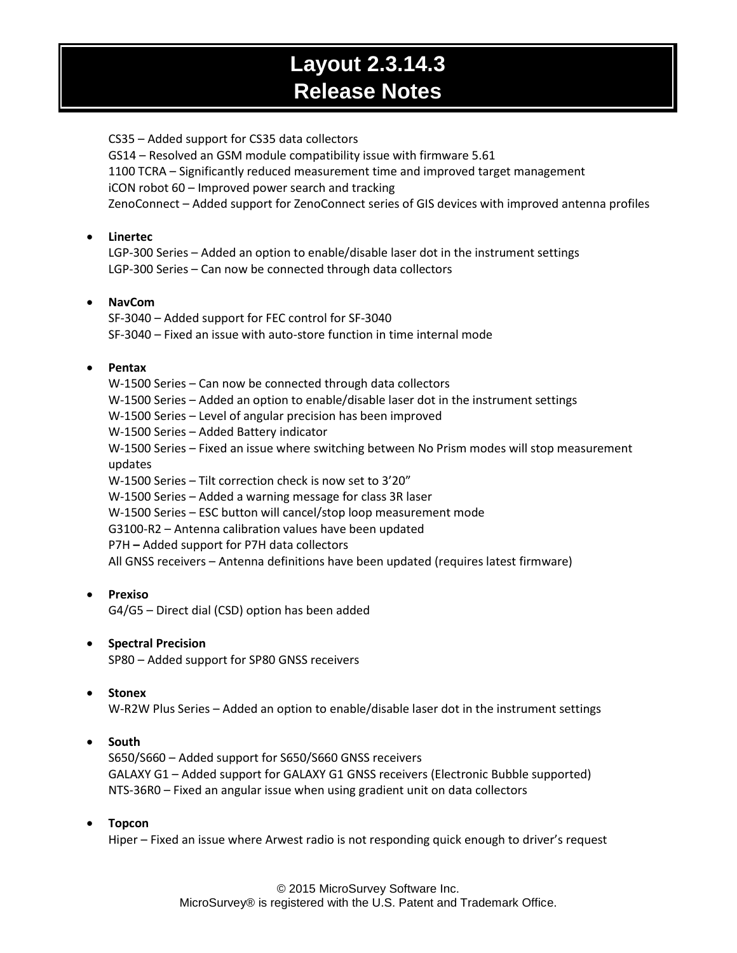CS35 – Added support for CS35 data collectors GS14 – Resolved an GSM module compatibility issue with firmware 5.61 1100 TCRA – Significantly reduced measurement time and improved target management iCON robot 60 – Improved power search and tracking ZenoConnect – Added support for ZenoConnect series of GIS devices with improved antenna profiles

### **Linertec**

LGP-300 Series – Added an option to enable/disable laser dot in the instrument settings LGP-300 Series – Can now be connected through data collectors

## **NavCom**

SF-3040 – Added support for FEC control for SF-3040 SF-3040 – Fixed an issue with auto-store function in time internal mode

## **Pentax**

W-1500 Series – Can now be connected through data collectors W-1500 Series – Added an option to enable/disable laser dot in the instrument settings W-1500 Series – Level of angular precision has been improved W-1500 Series – Added Battery indicator W-1500 Series – Fixed an issue where switching between No Prism modes will stop measurement updates W-1500 Series – Tilt correction check is now set to 3'20" W-1500 Series – Added a warning message for class 3R laser W-1500 Series – ESC button will cancel/stop loop measurement mode G3100-R2 – Antenna calibration values have been updated P7H **–** Added support for P7H data collectors All GNSS receivers – Antenna definitions have been updated (requires latest firmware)

**Prexiso**

G4/G5 – Direct dial (CSD) option has been added

### **•** Spectral Precision

SP80 – Added support for SP80 GNSS receivers

### **Stonex**

W-R2W Plus Series – Added an option to enable/disable laser dot in the instrument settings

## **South**

S650/S660 – Added support for S650/S660 GNSS receivers GALAXY G1 – Added support for GALAXY G1 GNSS receivers (Electronic Bubble supported) NTS-36R0 – Fixed an angular issue when using gradient unit on data collectors

### **Topcon**

Hiper – Fixed an issue where Arwest radio is not responding quick enough to driver's request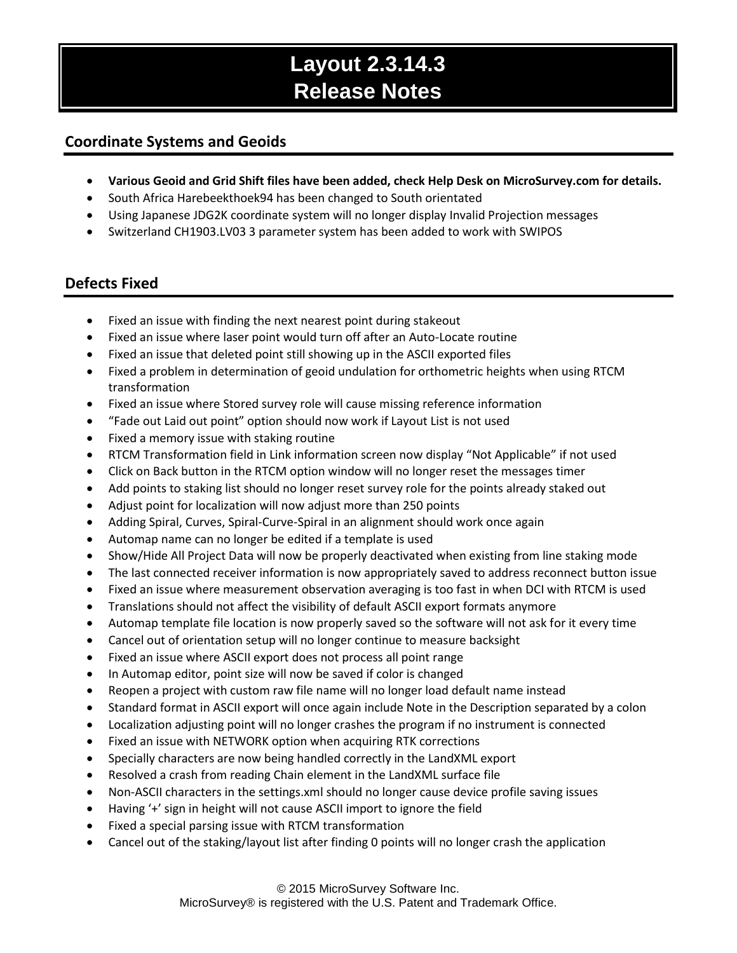## **Coordinate Systems and Geoids**

- **Various Geoid and Grid Shift files have been added, check Help Desk on MicroSurvey.com for details.**
- South Africa Harebeekthoek94 has been changed to South orientated
- Using Japanese JDG2K coordinate system will no longer display Invalid Projection messages
- Switzerland CH1903.LV03 3 parameter system has been added to work with SWIPOS

## **Defects Fixed**

- Fixed an issue with finding the next nearest point during stakeout
- Fixed an issue where laser point would turn off after an Auto-Locate routine
- Fixed an issue that deleted point still showing up in the ASCII exported files
- Fixed a problem in determination of geoid undulation for orthometric heights when using RTCM transformation
- Fixed an issue where Stored survey role will cause missing reference information
- "Fade out Laid out point" option should now work if Layout List is not used
- Fixed a memory issue with staking routine
- RTCM Transformation field in Link information screen now display "Not Applicable" if not used
- Click on Back button in the RTCM option window will no longer reset the messages timer
- Add points to staking list should no longer reset survey role for the points already staked out
- Adjust point for localization will now adjust more than 250 points
- Adding Spiral, Curves, Spiral-Curve-Spiral in an alignment should work once again
- Automap name can no longer be edited if a template is used
- Show/Hide All Project Data will now be properly deactivated when existing from line staking mode
- The last connected receiver information is now appropriately saved to address reconnect button issue
- Fixed an issue where measurement observation averaging is too fast in when DCI with RTCM is used
- Translations should not affect the visibility of default ASCII export formats anymore
- Automap template file location is now properly saved so the software will not ask for it every time
- Cancel out of orientation setup will no longer continue to measure backsight
- Fixed an issue where ASCII export does not process all point range
- In Automap editor, point size will now be saved if color is changed
- Reopen a project with custom raw file name will no longer load default name instead
- Standard format in ASCII export will once again include Note in the Description separated by a colon
- Localization adjusting point will no longer crashes the program if no instrument is connected
- Fixed an issue with NETWORK option when acquiring RTK corrections
- Specially characters are now being handled correctly in the LandXML export
- Resolved a crash from reading Chain element in the LandXML surface file
- Non-ASCII characters in the settings.xml should no longer cause device profile saving issues
- Having '+' sign in height will not cause ASCII import to ignore the field
- Fixed a special parsing issue with RTCM transformation
- Cancel out of the staking/layout list after finding 0 points will no longer crash the application